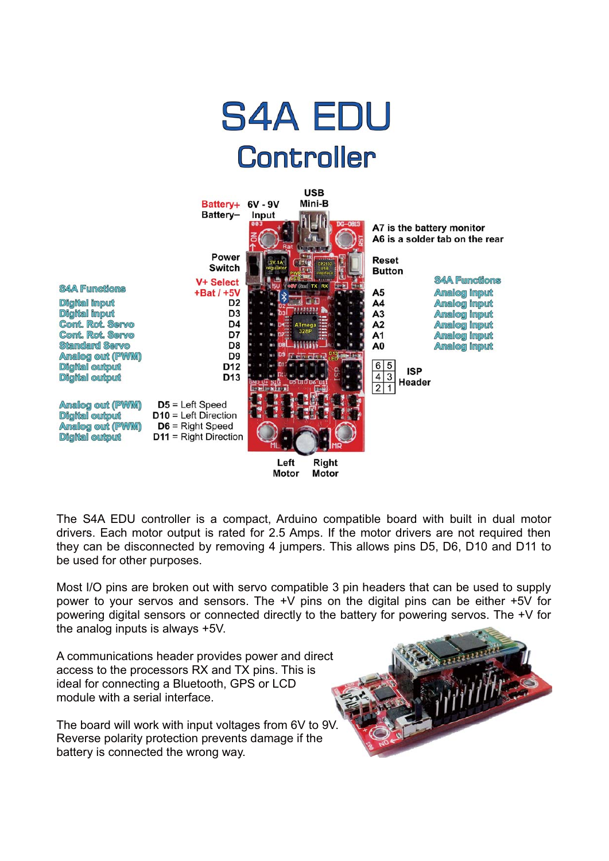

Motor **Motor** 

The S4A EDU controller is a compact. Arduino compatible board with built in dual motor drivers. Each motor output is rated for 2.5 Amps. If the motor drivers are not required then they can be disconnected by removing 4 jumpers. This allows pins D5, D6, D10 and D11 to be used for other purposes.

Most I/O pins are broken out with servo compatible 3 pin headers that can be used to supply power to your servos and sensors. The +V pins on the digital pins can be either +5V for powering digital sensors or connected directly to the battery for powering servos. The +V for the analog inputs is always +5V.

A communications header provides power and direct access to the processors RX and TX pins. This is ideal for connecting a Bluetooth, GPS or LCD module with a serial interface.

The board will work with input voltages from 6V to 9V. Reverse polarity protection prevents damage if the battery is connected the wrong way.